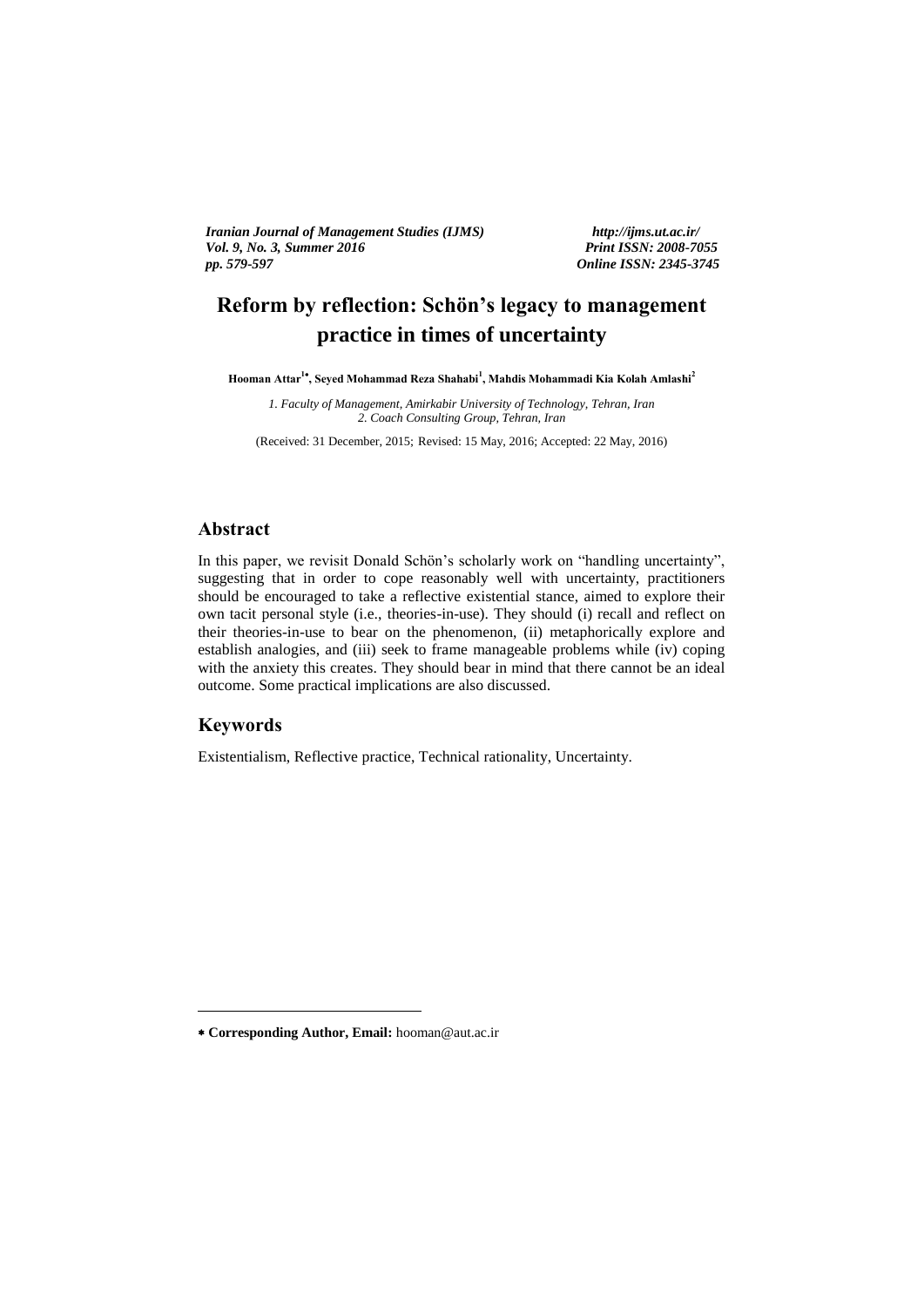*Iranian Journal of Management Studies (IJMS) http://ijms.ut.ac.ir/ Vol. 9, No. 3, Summer 2016*<br>pp. 579-597

*pp. 579-597 Online ISSN: 2345-3745*

# **Reform by reflection: Schön's legacy to management practice in times of uncertainty**

**Hooman Attar<sup>1</sup> , Seyed Mohammad Reza Shahabi<sup>1</sup> , Mahdis Mohammadi Kia Kolah Amlashi<sup>2</sup>**

*1. Faculty of Management, Amirkabir University of Technology, Tehran, Iran 2. Coach Consulting Group, Tehran, Iran*

(Received: 31 December, 2015; Revised: 15 May, 2016; Accepted: 22 May, 2016)

### **Abstract**

In this paper, we revisit Donald Schön's scholarly work on "handling uncertainty", suggesting that in order to cope reasonably well with uncertainty, practitioners should be encouraged to take a reflective existential stance, aimed to explore their own tacit personal style (i.e., theories-in-use). They should (i) recall and reflect on their theories-in-use to bear on the phenomenon, (ii) metaphorically explore and establish analogies, and (iii) seek to frame manageable problems while (iv) coping with the anxiety this creates. They should bear in mind that there cannot be an ideal outcome. Some practical implications are also discussed.

### **Keywords**

<u>.</u>

Existentialism, Reflective practice, Technical rationality, Uncertainty.

**Corresponding Author, Email:** hooman@aut.ac.ir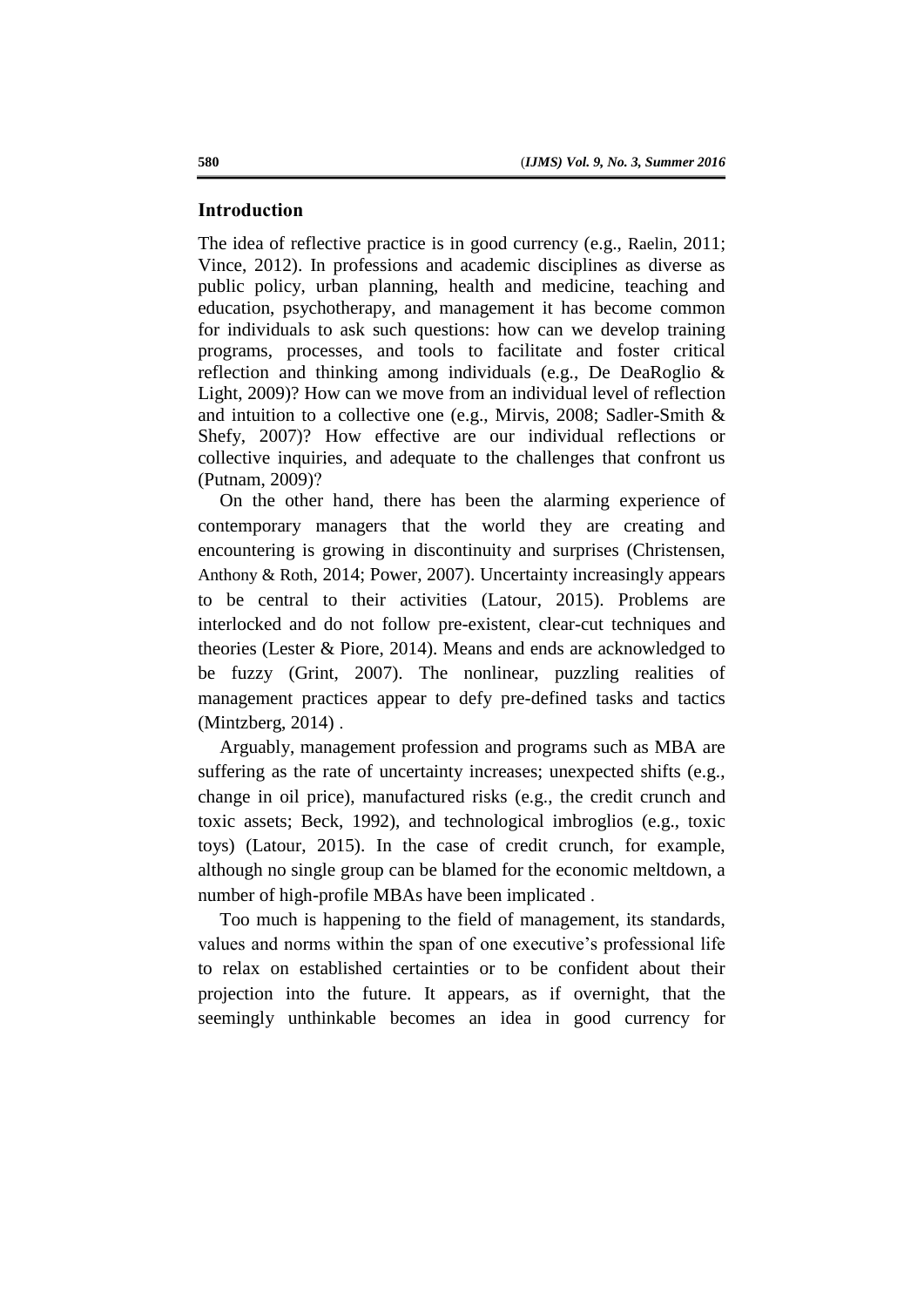### **Introduction**

The idea of reflective practice is in good currency (e.g., Raelin, 2011; Vince, 2012). In professions and academic disciplines as diverse as public policy, urban planning, health and medicine, teaching and education, psychotherapy, and management it has become common for individuals to ask such questions: how can we develop training programs, processes, and tools to facilitate and foster critical reflection and thinking among individuals (e.g., De DeaRoglio & Light, 2009)? How can we move from an individual level of reflection and intuition to a collective one (e.g., Mirvis, 2008; Sadler-Smith & Shefy, 2007)? How effective are our individual reflections or collective inquiries, and adequate to the challenges that confront us (Putnam, 2009)?

On the other hand, there has been the alarming experience of contemporary managers that the world they are creating and encountering is growing in discontinuity and surprises (Christensen, Anthony & Roth, 2014; Power, 2007). Uncertainty increasingly appears to be central to their activities (Latour, 2015). Problems are interlocked and do not follow pre-existent, clear-cut techniques and theories (Lester & Piore, 2014). Means and ends are acknowledged to be fuzzy (Grint, 2007). The nonlinear, puzzling realities of management practices appear to defy pre-defined tasks and tactics (Mintzberg, 2014) .

Arguably, management profession and programs such as MBA are suffering as the rate of uncertainty increases; unexpected shifts (e.g., change in oil price), manufactured risks (e.g., the credit crunch and toxic assets; Beck, 1992), and technological imbroglios (e.g., toxic toys) (Latour, 2015). In the case of credit crunch, for example, although no single group can be blamed for the economic meltdown, a number of high-profile MBAs have been implicated .

Too much is happening to the field of management, its standards, values and norms within the span of one executive's professional life to relax on established certainties or to be confident about their projection into the future. It appears, as if overnight, that the seemingly unthinkable becomes an idea in good currency for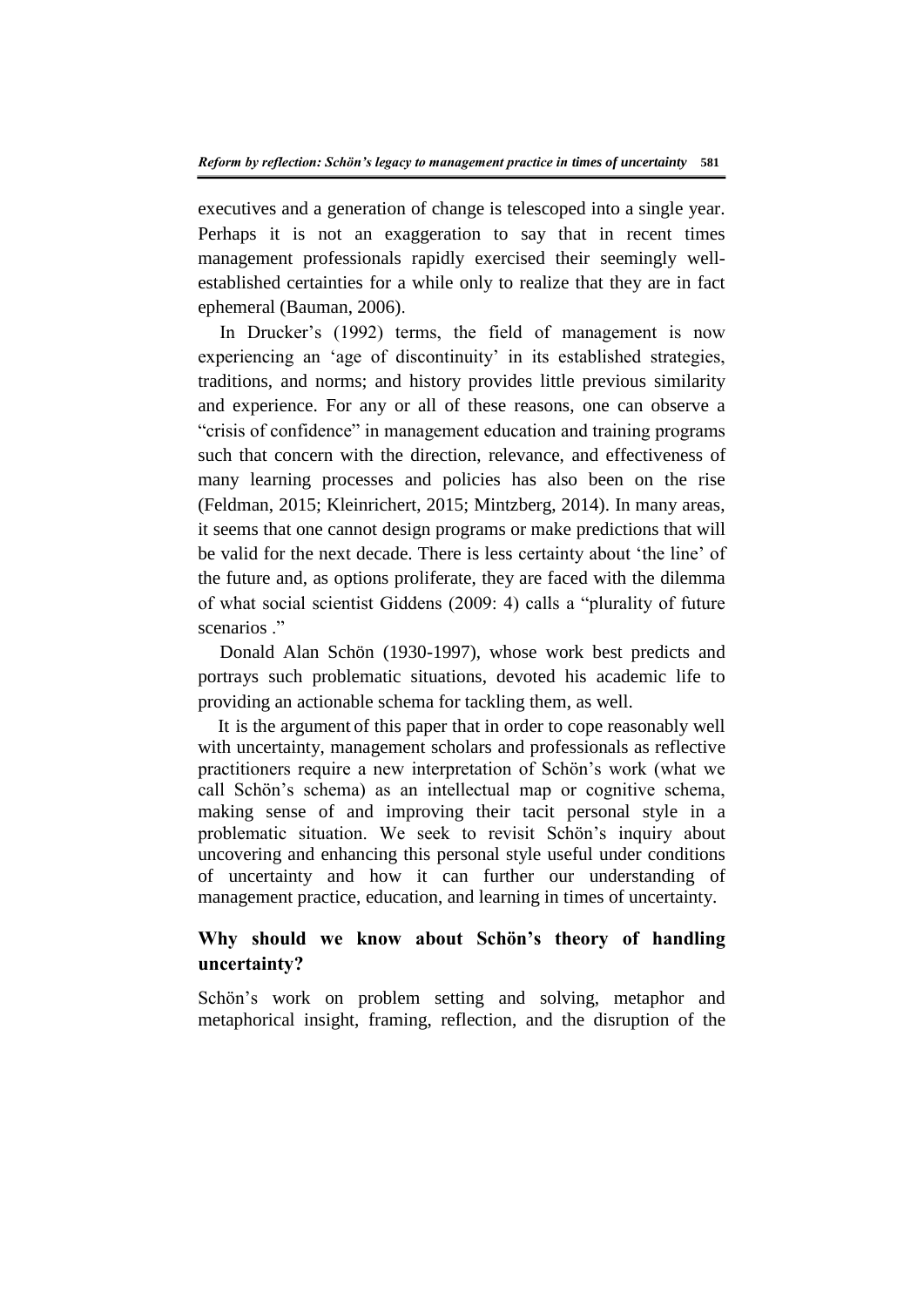executives and a generation of change is telescoped into a single year. Perhaps it is not an exaggeration to say that in recent times management professionals rapidly exercised their seemingly wellestablished certainties for a while only to realize that they are in fact ephemeral (Bauman, 2006).

In Drucker's (1992) terms, the field of management is now experiencing an 'age of discontinuity' in its established strategies, traditions, and norms; and history provides little previous similarity and experience. For any or all of these reasons, one can observe a "crisis of confidence" in management education and training programs such that concern with the direction, relevance, and effectiveness of many learning processes and policies has also been on the rise (Feldman, 2015; Kleinrichert, 2015; Mintzberg, 2014). In many areas, it seems that one cannot design programs or make predictions that will be valid for the next decade. There is less certainty about 'the line' of the future and, as options proliferate, they are faced with the dilemma of what social scientist Giddens (2009: 4) calls a "plurality of future scenarios ."

Donald Alan Schön (1930-1997), whose work best predicts and portrays such problematic situations, devoted his academic life to providing an actionable schema for tackling them, as well.

It is the argument of this paper that in order to cope reasonably well with uncertainty, management scholars and professionals as reflective practitioners require a new interpretation of Schön's work (what we call Schön's schema) as an intellectual map or cognitive schema, making sense of and improving their tacit personal style in a problematic situation. We seek to revisit Schön's inquiry about uncovering and enhancing this personal style useful under conditions of uncertainty and how it can further our understanding of management practice, education, and learning in times of uncertainty.

### **Why should we know about Schön's theory of handling uncertainty?**

Schön's work on problem setting and solving, metaphor and metaphorical insight, framing, reflection, and the disruption of the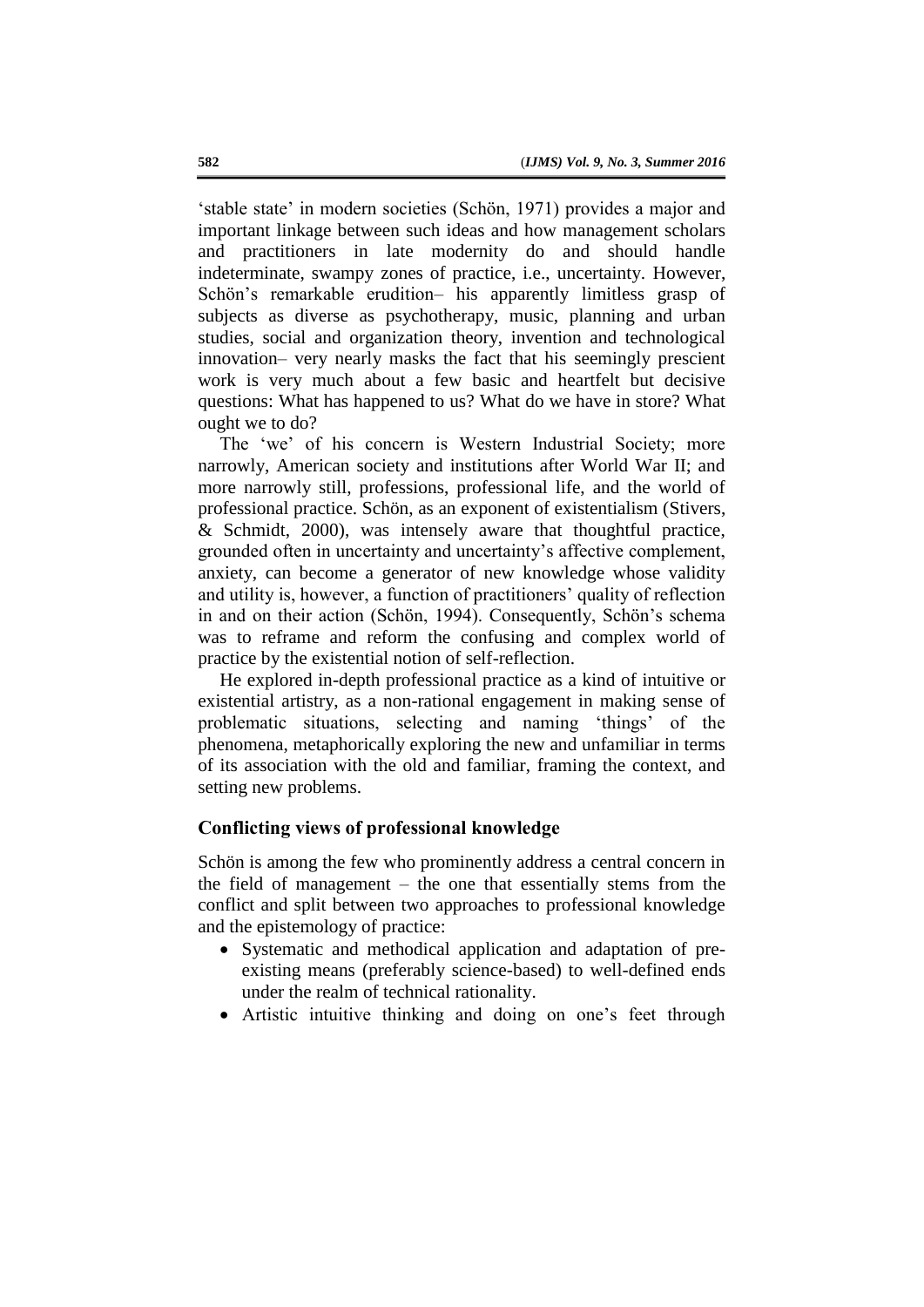'stable state' in modern societies (Schön, 1971) provides a major and important linkage between such ideas and how management scholars and practitioners in late modernity do and should handle indeterminate, swampy zones of practice, i.e., uncertainty. However, Schön's remarkable erudition– his apparently limitless grasp of subjects as diverse as psychotherapy, music, planning and urban studies, social and organization theory, invention and technological innovation– very nearly masks the fact that his seemingly prescient work is very much about a few basic and heartfelt but decisive questions: What has happened to us? What do we have in store? What ought we to do?

The 'we' of his concern is Western Industrial Society; more narrowly, American society and institutions after World War II; and more narrowly still, professions, professional life, and the world of professional practice. Schön, as an exponent of existentialism (Stivers, & Schmidt, 2000), was intensely aware that thoughtful practice, grounded often in uncertainty and uncertainty's affective complement, anxiety, can become a generator of new knowledge whose validity and utility is, however, a function of practitioners' quality of reflection in and on their action (Schön, 1994). Consequently, Schön's schema was to reframe and reform the confusing and complex world of practice by the existential notion of self-reflection.

He explored in-depth professional practice as a kind of intuitive or existential artistry, as a non-rational engagement in making sense of problematic situations, selecting and naming 'things' of the phenomena, metaphorically exploring the new and unfamiliar in terms of its association with the old and familiar, framing the context, and setting new problems.

### **Conflicting views of professional knowledge**

Schön is among the few who prominently address a central concern in the field of management – the one that essentially stems from the conflict and split between two approaches to professional knowledge and the epistemology of practice:

- Systematic and methodical application and adaptation of preexisting means (preferably science-based) to well-defined ends under the realm of technical rationality.
- Artistic intuitive thinking and doing on one's feet through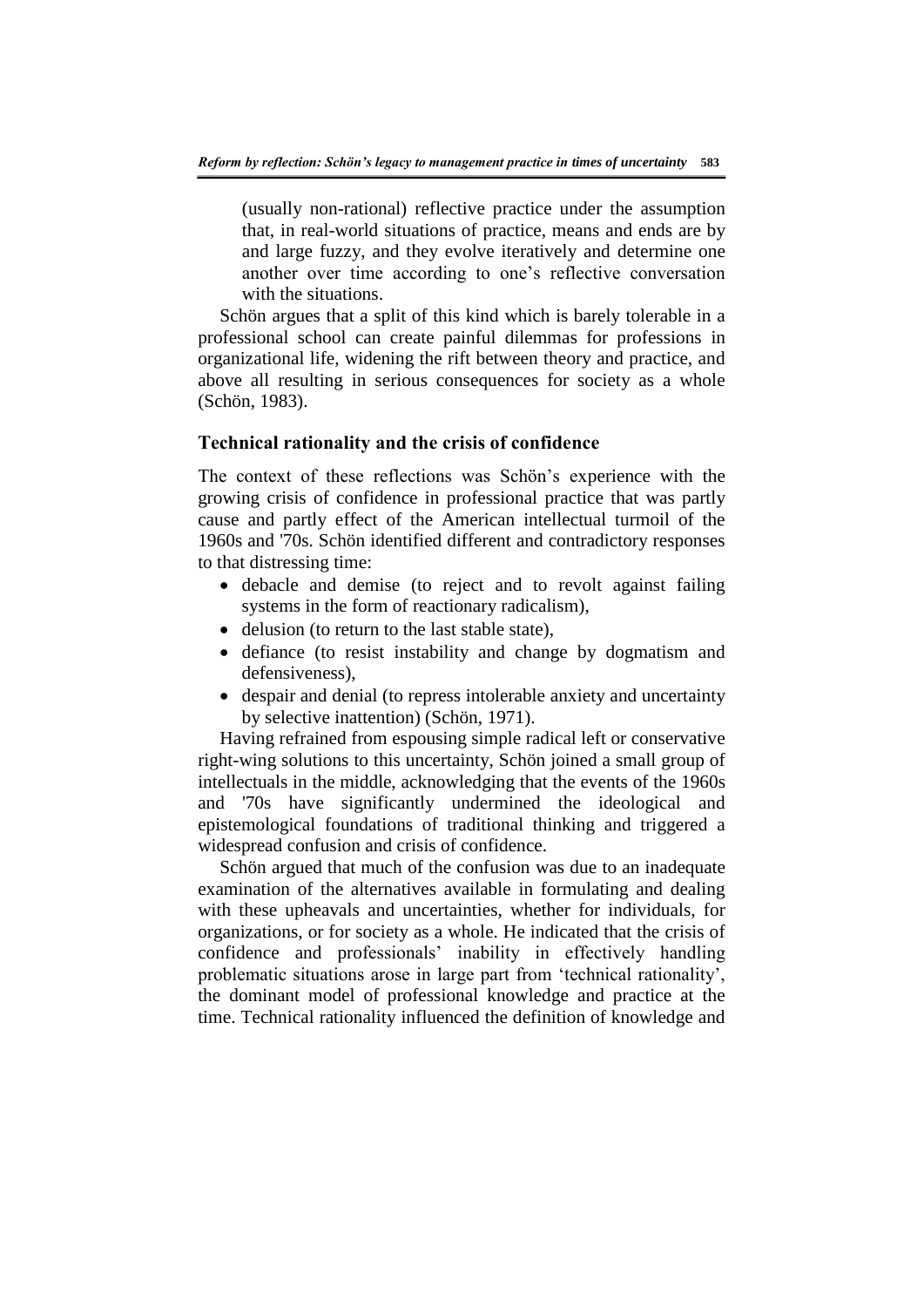(usually non-rational) reflective practice under the assumption that, in real-world situations of practice, means and ends are by and large fuzzy, and they evolve iteratively and determine one another over time according to one's reflective conversation with the situations.

Schön argues that a split of this kind which is barely tolerable in a professional school can create painful dilemmas for professions in organizational life, widening the rift between theory and practice, and above all resulting in serious consequences for society as a whole (Schön, 1983).

### **Technical rationality and the crisis of confidence**

The context of these reflections was Schön's experience with the growing crisis of confidence in professional practice that was partly cause and partly effect of the American intellectual turmoil of the 1960s and '70s. Schön identified different and contradictory responses to that distressing time:

- debacle and demise (to reject and to revolt against failing systems in the form of reactionary radicalism),
- delusion (to return to the last stable state),
- defiance (to resist instability and change by dogmatism and defensiveness),
- despair and denial (to repress intolerable anxiety and uncertainty by selective inattention) (Schön, 1971).

Having refrained from espousing simple radical left or conservative right-wing solutions to this uncertainty, Schön joined a small group of intellectuals in the middle, acknowledging that the events of the 1960s and '70s have significantly undermined the ideological and epistemological foundations of traditional thinking and triggered a widespread confusion and crisis of confidence.

Schön argued that much of the confusion was due to an inadequate examination of the alternatives available in formulating and dealing with these upheavals and uncertainties, whether for individuals, for organizations, or for society as a whole. He indicated that the crisis of confidence and professionals' inability in effectively handling problematic situations arose in large part from 'technical rationality', the dominant model of professional knowledge and practice at the time. Technical rationality influenced the definition of knowledge and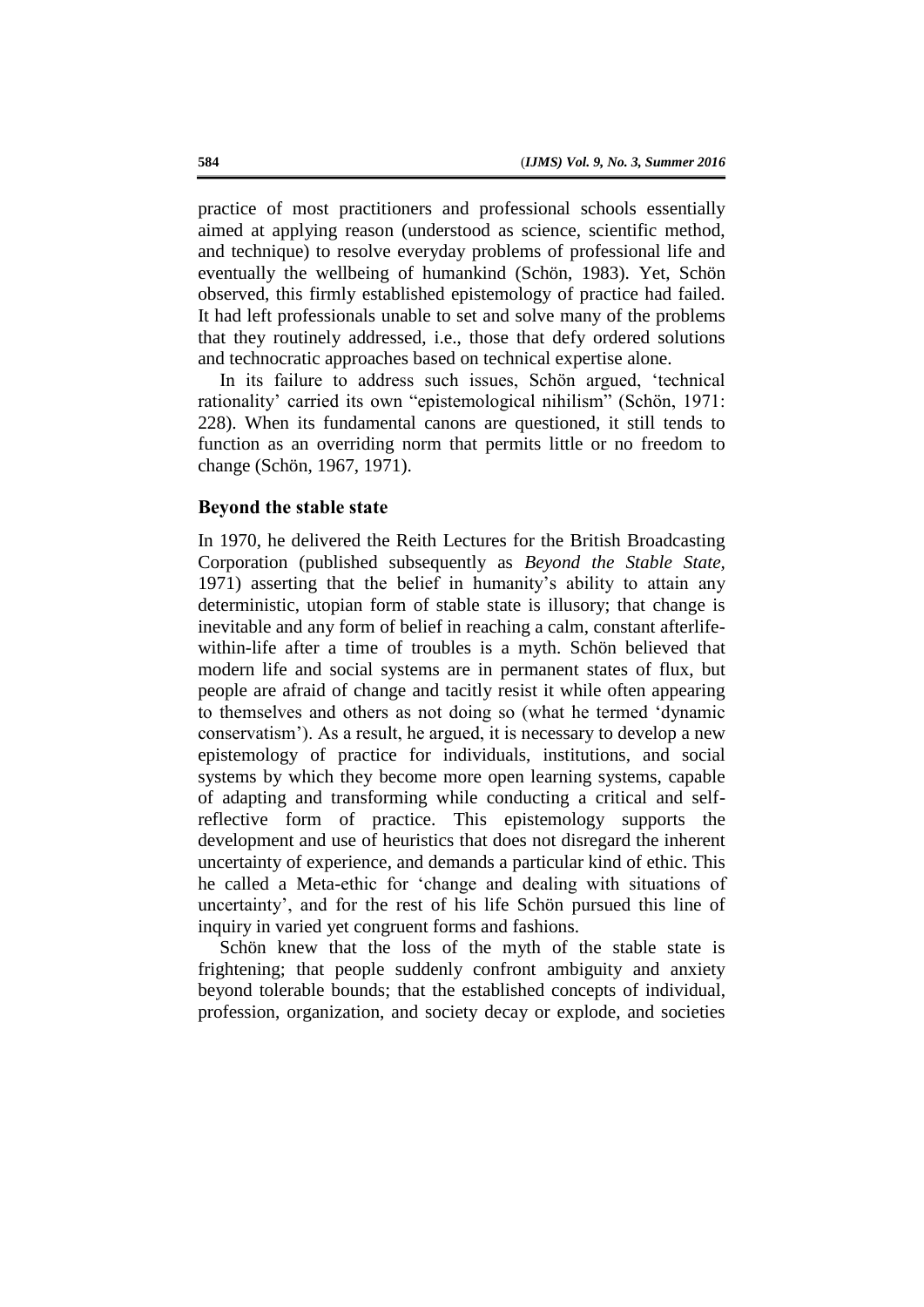practice of most practitioners and professional schools essentially aimed at applying reason (understood as science, scientific method, and technique) to resolve everyday problems of professional life and eventually the wellbeing of humankind (Schön, 1983). Yet, Schön observed, this firmly established epistemology of practice had failed. It had left professionals unable to set and solve many of the problems that they routinely addressed, i.e., those that defy ordered solutions and technocratic approaches based on technical expertise alone.

In its failure to address such issues, Schön argued, 'technical rationality' carried its own "epistemological nihilism" (Schön, 1971: 228). When its fundamental canons are questioned, it still tends to function as an overriding norm that permits little or no freedom to change (Schön, 1967, 1971).

### **Beyond the stable state**

In 1970, he delivered the Reith Lectures for the British Broadcasting Corporation (published subsequently as *Beyond the Stable State,*  1971) asserting that the belief in humanity's ability to attain any deterministic, utopian form of stable state is illusory; that change is inevitable and any form of belief in reaching a calm, constant afterlifewithin-life after a time of troubles is a myth. Schön believed that modern life and social systems are in permanent states of flux, but people are afraid of change and tacitly resist it while often appearing to themselves and others as not doing so (what he termed 'dynamic conservatism'). As a result, he argued, it is necessary to develop a new epistemology of practice for individuals, institutions, and social systems by which they become more open learning systems, capable of adapting and transforming while conducting a critical and selfreflective form of practice. This epistemology supports the development and use of heuristics that does not disregard the inherent uncertainty of experience, and demands a particular kind of ethic. This he called a Meta-ethic for 'change and dealing with situations of uncertainty', and for the rest of his life Schön pursued this line of inquiry in varied yet congruent forms and fashions.

Schön knew that the loss of the myth of the stable state is frightening; that people suddenly confront ambiguity and anxiety beyond tolerable bounds; that the established concepts of individual, profession, organization, and society decay or explode, and societies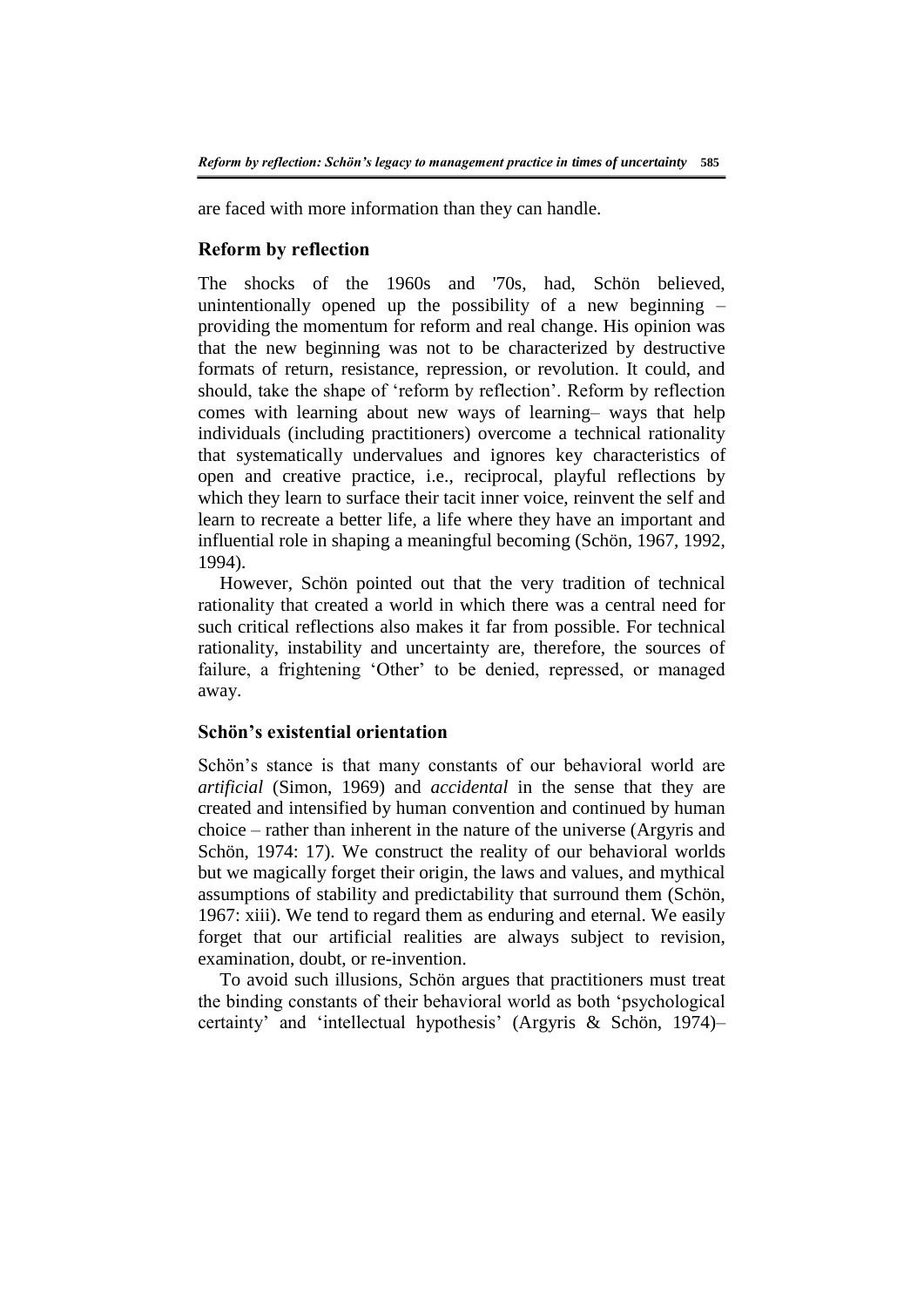are faced with more information than they can handle.

### **Reform by reflection**

The shocks of the 1960s and '70s, had, Schön believed, unintentionally opened up the possibility of a new beginning – providing the momentum for reform and real change. His opinion was that the new beginning was not to be characterized by destructive formats of return, resistance, repression, or revolution. It could, and should, take the shape of 'reform by reflection'. Reform by reflection comes with learning about new ways of learning– ways that help individuals (including practitioners) overcome a technical rationality that systematically undervalues and ignores key characteristics of open and creative practice, i.e., reciprocal, playful reflections by which they learn to surface their tacit inner voice, reinvent the self and learn to recreate a better life, a life where they have an important and influential role in shaping a meaningful becoming (Schön, 1967, 1992, 1994).

However, Schön pointed out that the very tradition of technical rationality that created a world in which there was a central need for such critical reflections also makes it far from possible. For technical rationality, instability and uncertainty are, therefore, the sources of failure, a frightening 'Other' to be denied, repressed, or managed away.

### **Schön's existential orientation**

Schön's stance is that many constants of our behavioral world are *artificial* (Simon, 1969) and *accidental* in the sense that they are created and intensified by human convention and continued by human choice – rather than inherent in the nature of the universe (Argyris and Schön, 1974: 17). We construct the reality of our behavioral worlds but we magically forget their origin, the laws and values, and mythical assumptions of stability and predictability that surround them (Schön, 1967: xiii). We tend to regard them as enduring and eternal. We easily forget that our artificial realities are always subject to revision, examination, doubt, or re-invention.

To avoid such illusions, Schön argues that practitioners must treat the binding constants of their behavioral world as both 'psychological certainty' and 'intellectual hypothesis' (Argyris & Schön, 1974)–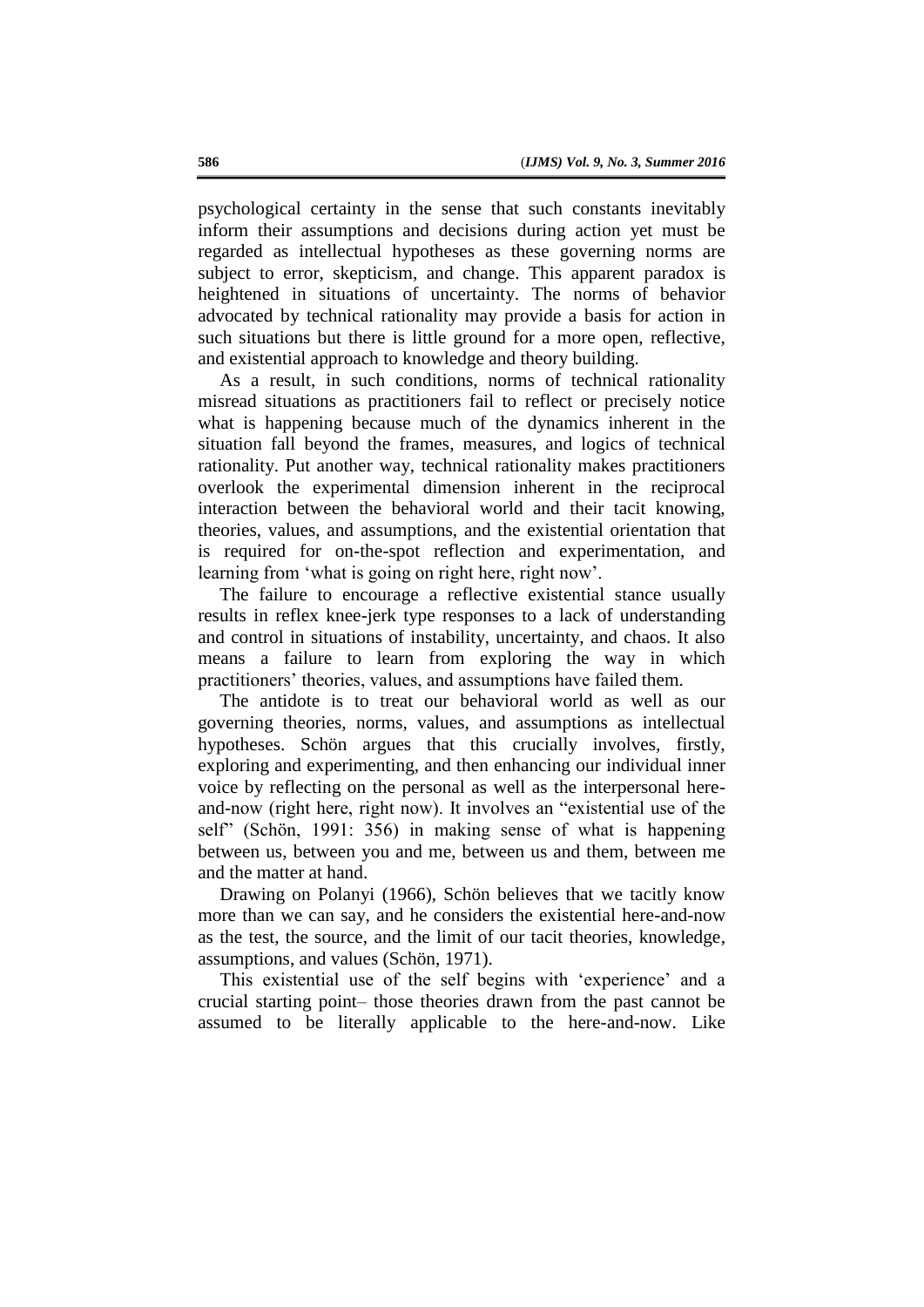psychological certainty in the sense that such constants inevitably inform their assumptions and decisions during action yet must be regarded as intellectual hypotheses as these governing norms are subject to error, skepticism, and change. This apparent paradox is heightened in situations of uncertainty. The norms of behavior advocated by technical rationality may provide a basis for action in such situations but there is little ground for a more open, reflective, and existential approach to knowledge and theory building.

As a result, in such conditions, norms of technical rationality misread situations as practitioners fail to reflect or precisely notice what is happening because much of the dynamics inherent in the situation fall beyond the frames, measures, and logics of technical rationality. Put another way, technical rationality makes practitioners overlook the experimental dimension inherent in the reciprocal interaction between the behavioral world and their tacit knowing, theories, values, and assumptions, and the existential orientation that is required for on-the-spot reflection and experimentation, and learning from 'what is going on right here, right now'.

The failure to encourage a reflective existential stance usually results in reflex knee-jerk type responses to a lack of understanding and control in situations of instability, uncertainty, and chaos. It also means a failure to learn from exploring the way in which practitioners' theories, values, and assumptions have failed them.

The antidote is to treat our behavioral world as well as our governing theories, norms, values, and assumptions as intellectual hypotheses. Schön argues that this crucially involves, firstly, exploring and experimenting, and then enhancing our individual inner voice by reflecting on the personal as well as the interpersonal hereand-now (right here, right now). It involves an "existential use of the self" (Schön, 1991: 356) in making sense of what is happening between us, between you and me, between us and them, between me and the matter at hand.

Drawing on Polanyi (1966), Schön believes that we tacitly know more than we can say, and he considers the existential here-and-now as the test, the source, and the limit of our tacit theories, knowledge, assumptions, and values (Schön, 1971).

This existential use of the self begins with 'experience' and a crucial starting point– those theories drawn from the past cannot be assumed to be literally applicable to the here-and-now. Like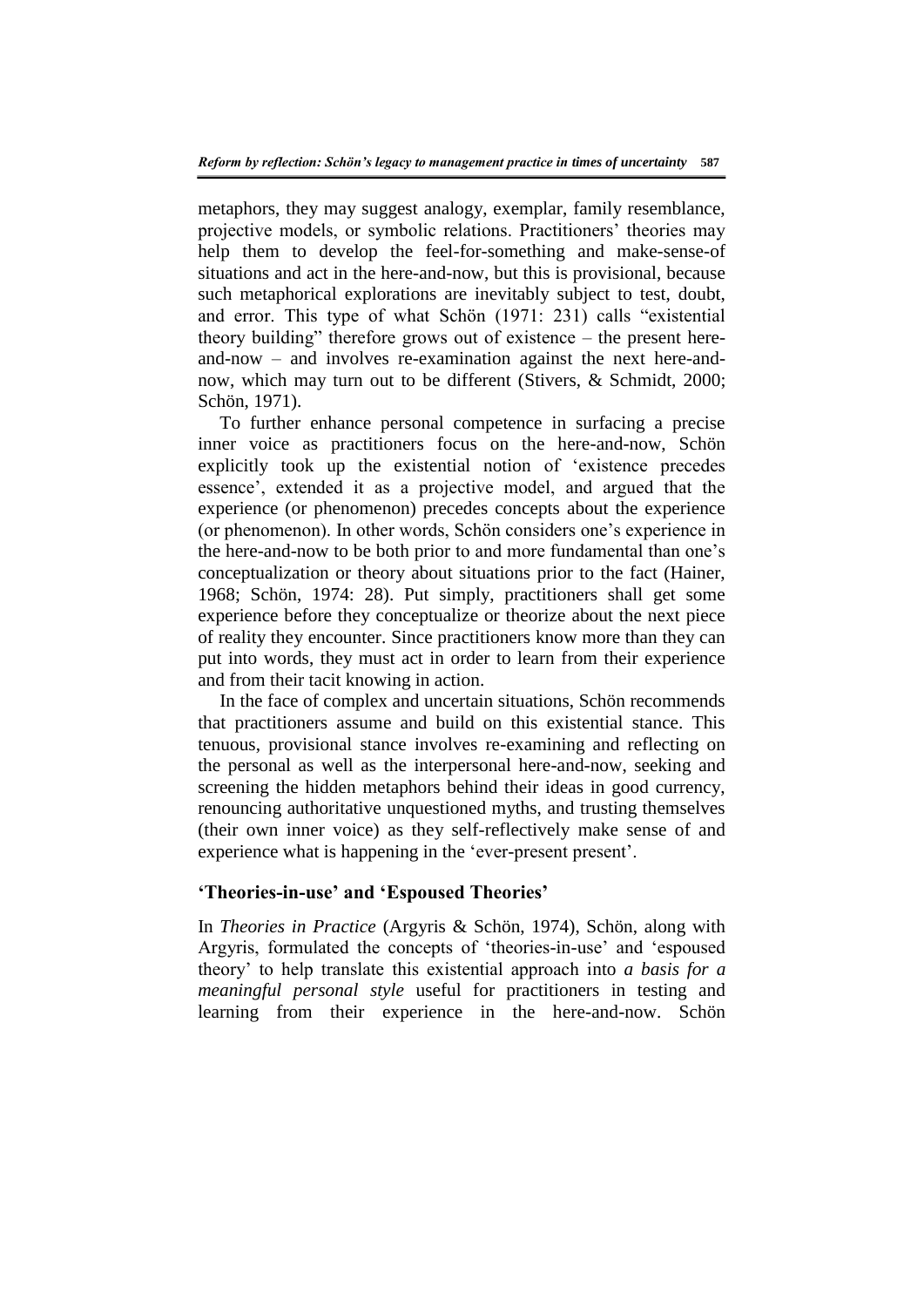metaphors, they may suggest analogy, exemplar, family resemblance, projective models, or symbolic relations. Practitioners' theories may help them to develop the feel-for-something and make-sense-of situations and act in the here-and-now, but this is provisional, because such metaphorical explorations are inevitably subject to test, doubt, and error. This type of what Schön (1971: 231) calls "existential theory building" therefore grows out of existence – the present hereand-now – and involves re-examination against the next here-andnow, which may turn out to be different (Stivers, & Schmidt, 2000; Schön, 1971).

To further enhance personal competence in surfacing a precise inner voice as practitioners focus on the here-and-now, Schön explicitly took up the existential notion of 'existence precedes essence', extended it as a projective model, and argued that the experience (or phenomenon) precedes concepts about the experience (or phenomenon). In other words, Schön considers one's experience in the here-and-now to be both prior to and more fundamental than one's conceptualization or theory about situations prior to the fact (Hainer, 1968; Schön, 1974: 28). Put simply, practitioners shall get some experience before they conceptualize or theorize about the next piece of reality they encounter. Since practitioners know more than they can put into words, they must act in order to learn from their experience and from their tacit knowing in action.

In the face of complex and uncertain situations, Schön recommends that practitioners assume and build on this existential stance. This tenuous, provisional stance involves re-examining and reflecting on the personal as well as the interpersonal here-and-now, seeking and screening the hidden metaphors behind their ideas in good currency, renouncing authoritative unquestioned myths, and trusting themselves (their own inner voice) as they self-reflectively make sense of and experience what is happening in the 'ever-present present'.

### **'Theories-in-use' and 'Espoused Theories'**

In *Theories in Practice* (Argyris & Schön, 1974), Schön, along with Argyris, formulated the concepts of 'theories-in-use' and 'espoused theory' to help translate this existential approach into *a basis for a meaningful personal style* useful for practitioners in testing and learning from their experience in the here-and-now. Schön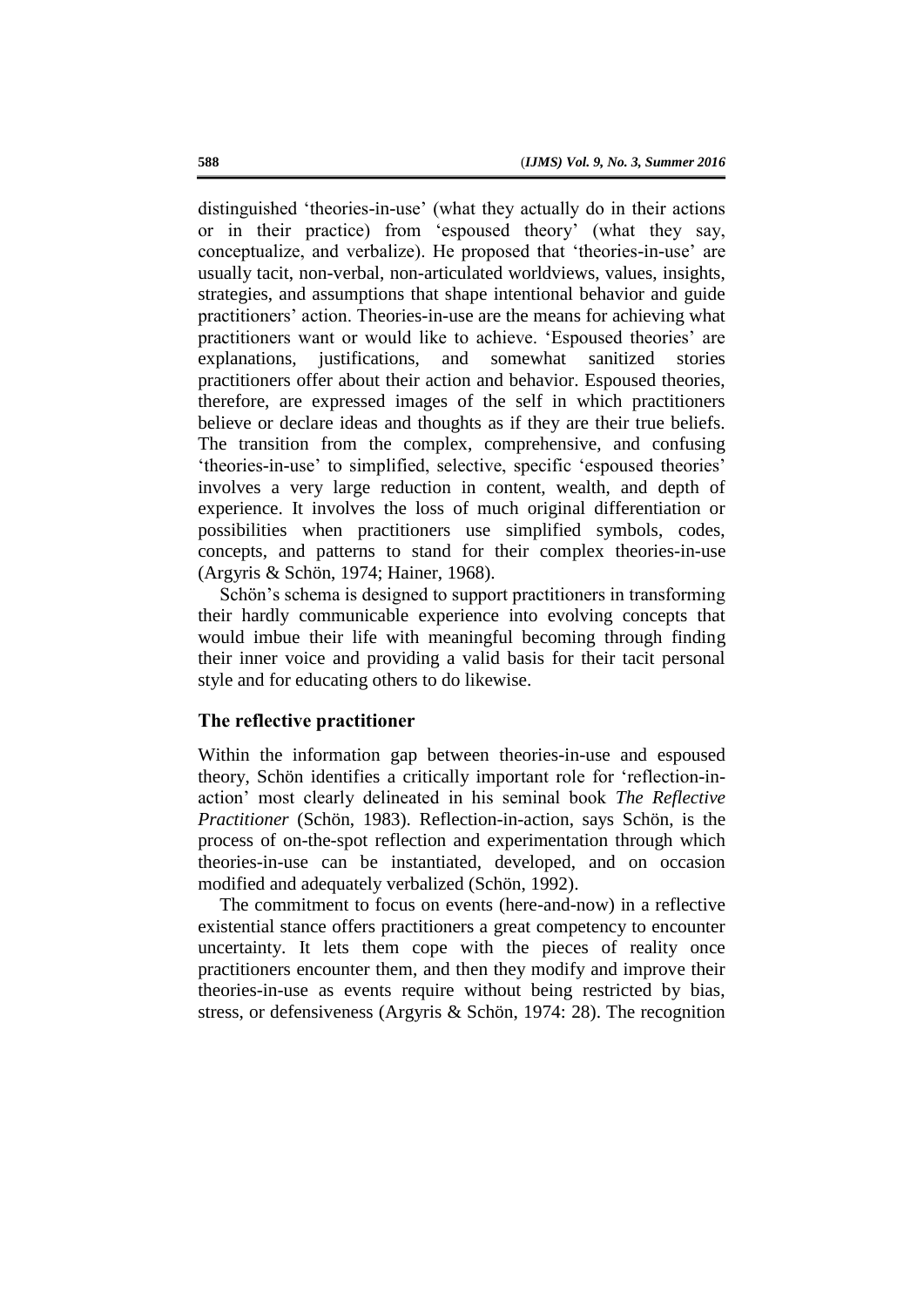distinguished 'theories-in-use' (what they actually do in their actions or in their practice) from 'espoused theory' (what they say, conceptualize, and verbalize). He proposed that 'theories-in-use' are usually tacit, non-verbal, non-articulated worldviews, values, insights, strategies, and assumptions that shape intentional behavior and guide practitioners' action. Theories-in-use are the means for achieving what practitioners want or would like to achieve. 'Espoused theories' are explanations, justifications, and somewhat sanitized stories practitioners offer about their action and behavior. Espoused theories, therefore, are expressed images of the self in which practitioners believe or declare ideas and thoughts as if they are their true beliefs. The transition from the complex, comprehensive, and confusing 'theories-in-use' to simplified, selective, specific 'espoused theories' involves a very large reduction in content, wealth, and depth of experience. It involves the loss of much original differentiation or possibilities when practitioners use simplified symbols, codes, concepts, and patterns to stand for their complex theories-in-use (Argyris & Schön, 1974; Hainer, 1968).

Schön's schema is designed to support practitioners in transforming their hardly communicable experience into evolving concepts that would imbue their life with meaningful becoming through finding their inner voice and providing a valid basis for their tacit personal style and for educating others to do likewise.

### **The reflective practitioner**

Within the information gap between theories-in-use and espoused theory, Schön identifies a critically important role for 'reflection-inaction' most clearly delineated in his seminal book *The Reflective Practitioner* (Schön, 1983). Reflection-in-action, says Schön, is the process of on-the-spot reflection and experimentation through which theories-in-use can be instantiated, developed, and on occasion modified and adequately verbalized (Schön, 1992).

The commitment to focus on events (here-and-now) in a reflective existential stance offers practitioners a great competency to encounter uncertainty. It lets them cope with the pieces of reality once practitioners encounter them, and then they modify and improve their theories-in-use as events require without being restricted by bias, stress, or defensiveness (Argyris & Schön, 1974: 28). The recognition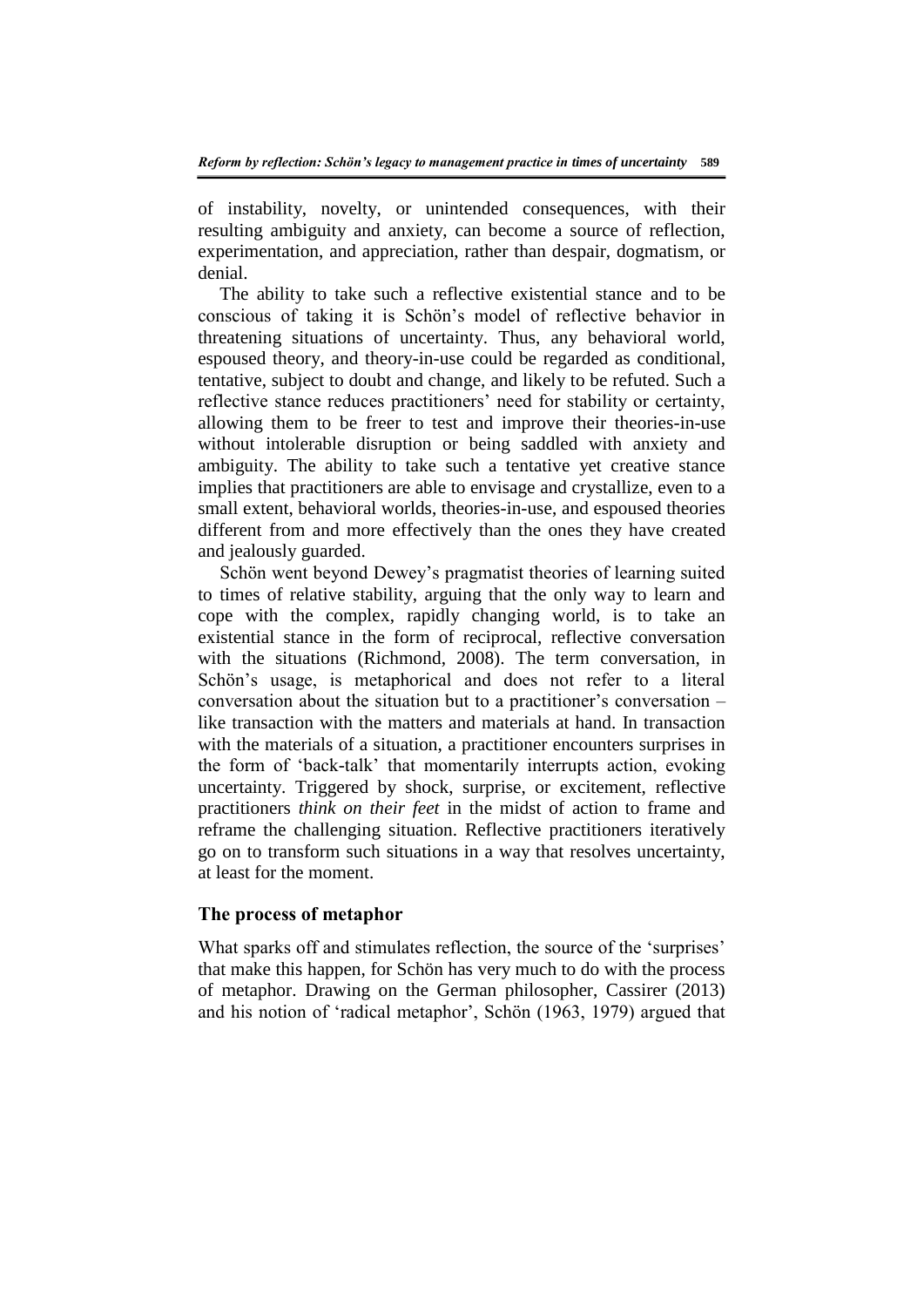of instability, novelty, or unintended consequences, with their resulting ambiguity and anxiety, can become a source of reflection, experimentation, and appreciation, rather than despair, dogmatism, or denial.

The ability to take such a reflective existential stance and to be conscious of taking it is Schön's model of reflective behavior in threatening situations of uncertainty. Thus, any behavioral world, espoused theory, and theory-in-use could be regarded as conditional, tentative, subject to doubt and change, and likely to be refuted. Such a reflective stance reduces practitioners' need for stability or certainty, allowing them to be freer to test and improve their theories-in-use without intolerable disruption or being saddled with anxiety and ambiguity. The ability to take such a tentative yet creative stance implies that practitioners are able to envisage and crystallize, even to a small extent, behavioral worlds, theories-in-use, and espoused theories different from and more effectively than the ones they have created and jealously guarded.

Schön went beyond Dewey's pragmatist theories of learning suited to times of relative stability, arguing that the only way to learn and cope with the complex, rapidly changing world, is to take an existential stance in the form of reciprocal, reflective conversation with the situations (Richmond, 2008). The term conversation, in Schön's usage, is metaphorical and does not refer to a literal conversation about the situation but to a practitioner's conversation – like transaction with the matters and materials at hand. In transaction with the materials of a situation, a practitioner encounters surprises in the form of 'back-talk' that momentarily interrupts action, evoking uncertainty. Triggered by shock, surprise, or excitement, reflective practitioners *think on their feet* in the midst of action to frame and reframe the challenging situation. Reflective practitioners iteratively go on to transform such situations in a way that resolves uncertainty, at least for the moment.

#### **The process of metaphor**

What sparks off and stimulates reflection, the source of the 'surprises' that make this happen, for Schön has very much to do with the process of metaphor. Drawing on the German philosopher, Cassirer (2013) and his notion of 'radical metaphor', Schön (1963, 1979) argued that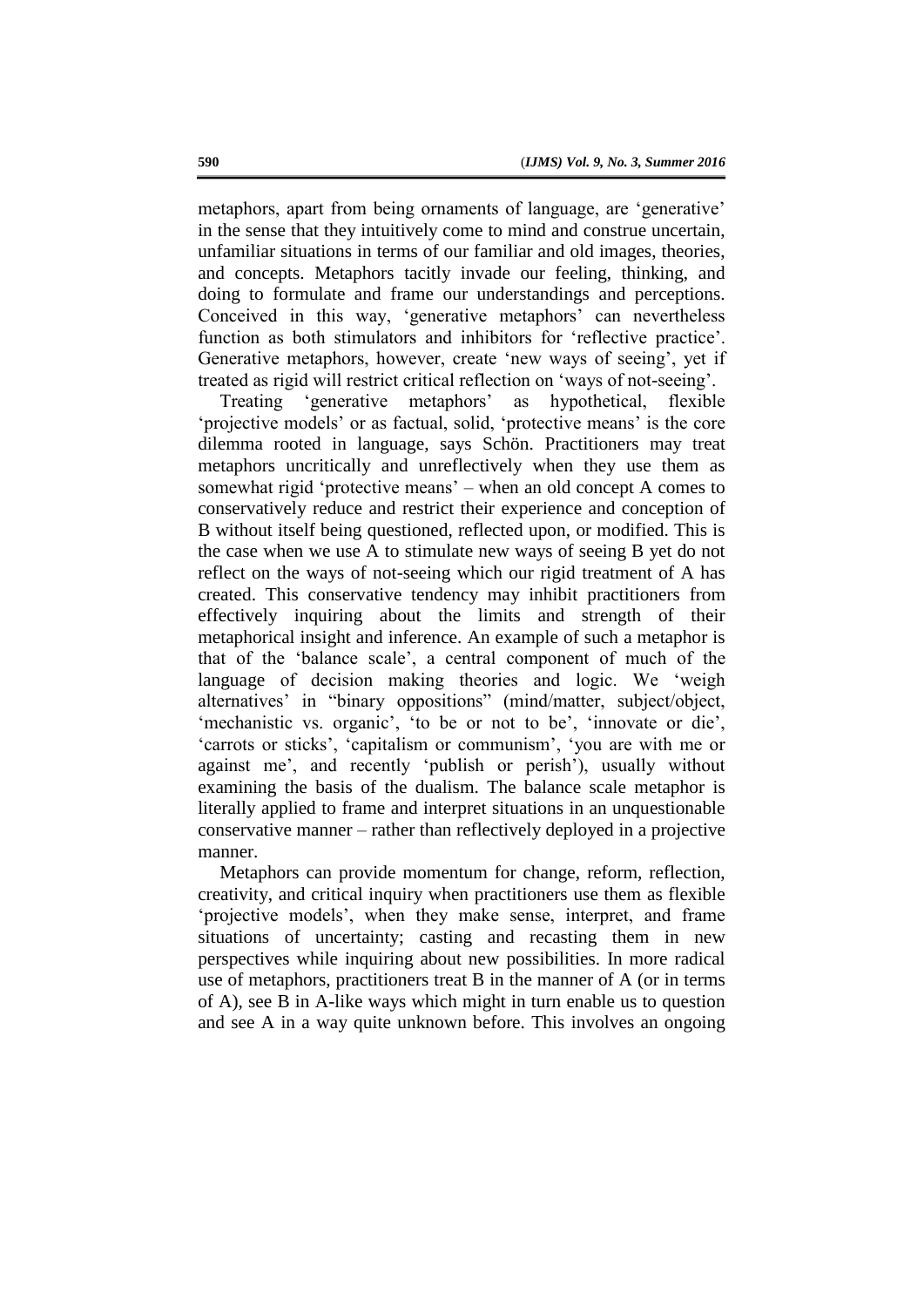metaphors, apart from being ornaments of language, are 'generative' in the sense that they intuitively come to mind and construe uncertain, unfamiliar situations in terms of our familiar and old images, theories, and concepts. Metaphors tacitly invade our feeling, thinking, and doing to formulate and frame our understandings and perceptions. Conceived in this way, 'generative metaphors' can nevertheless function as both stimulators and inhibitors for 'reflective practice'. Generative metaphors, however, create 'new ways of seeing', yet if treated as rigid will restrict critical reflection on 'ways of not-seeing'.

Treating 'generative metaphors' as hypothetical, flexible 'projective models' or as factual, solid, 'protective means' is the core dilemma rooted in language, says Schön. Practitioners may treat metaphors uncritically and unreflectively when they use them as somewhat rigid 'protective means' – when an old concept A comes to conservatively reduce and restrict their experience and conception of B without itself being questioned, reflected upon, or modified. This is the case when we use A to stimulate new ways of seeing B yet do not reflect on the ways of not-seeing which our rigid treatment of A has created. This conservative tendency may inhibit practitioners from effectively inquiring about the limits and strength of their metaphorical insight and inference. An example of such a metaphor is that of the 'balance scale', a central component of much of the language of decision making theories and logic. We 'weigh alternatives' in "binary oppositions" (mind/matter, subject/object, 'mechanistic vs. organic', 'to be or not to be', 'innovate or die', 'carrots or sticks', 'capitalism or communism', 'you are with me or against me', and recently 'publish or perish'), usually without examining the basis of the dualism. The balance scale metaphor is literally applied to frame and interpret situations in an unquestionable conservative manner – rather than reflectively deployed in a projective manner.

Metaphors can provide momentum for change, reform, reflection, creativity, and critical inquiry when practitioners use them as flexible 'projective models', when they make sense, interpret, and frame situations of uncertainty; casting and recasting them in new perspectives while inquiring about new possibilities. In more radical use of metaphors, practitioners treat B in the manner of A (or in terms of A), see B in A-like ways which might in turn enable us to question and see A in a way quite unknown before. This involves an ongoing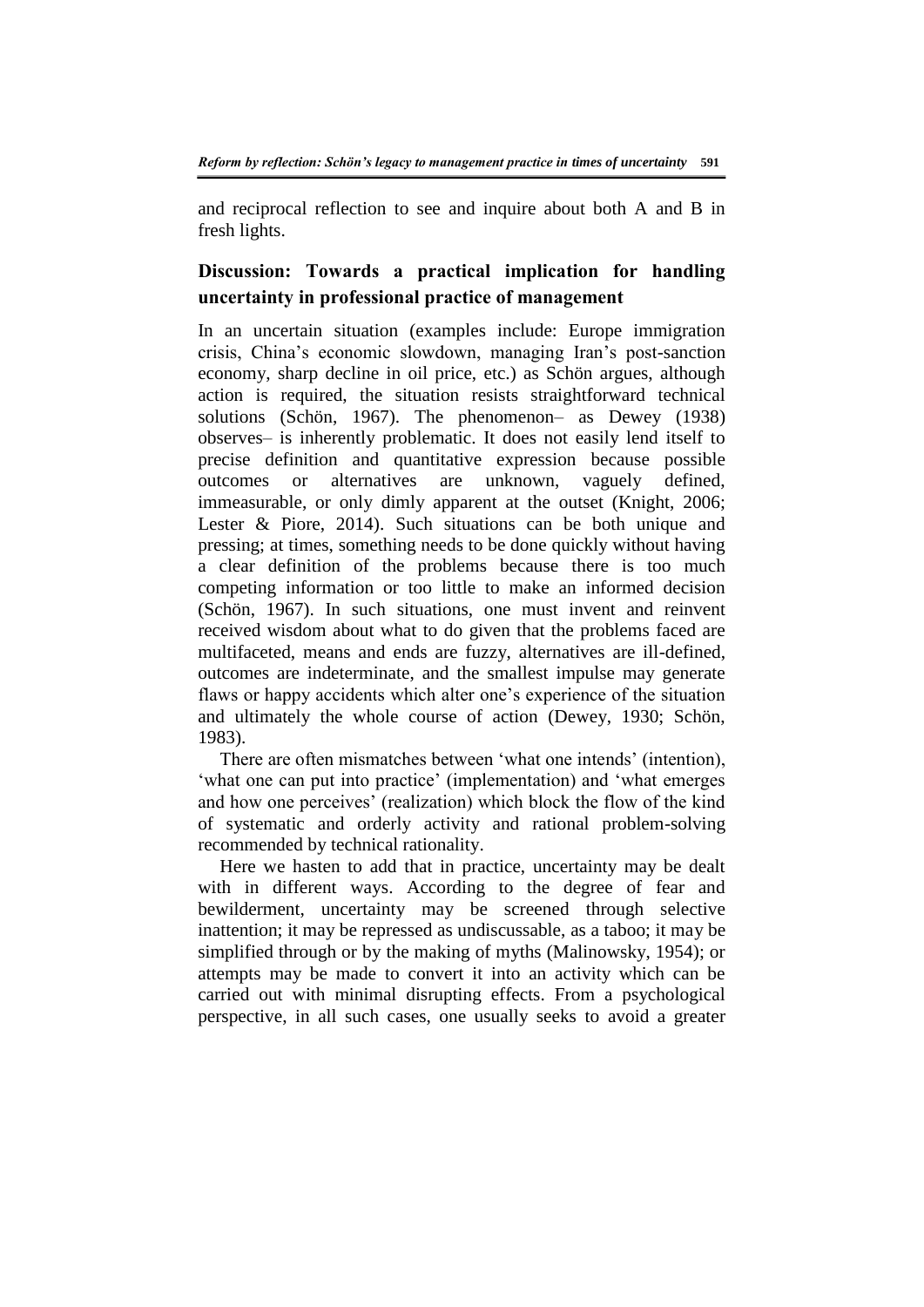and reciprocal reflection to see and inquire about both A and B in fresh lights.

## **Discussion: Towards a practical implication for handling uncertainty in professional practice of management**

In an uncertain situation (examples include: Europe immigration crisis, China's economic slowdown, managing Iran's post-sanction economy, sharp decline in oil price, etc.) as Schön argues, although action is required, the situation resists straightforward technical solutions (Schön, 1967). The phenomenon– as Dewey (1938) observes– is inherently problematic. It does not easily lend itself to precise definition and quantitative expression because possible outcomes or alternatives are unknown, vaguely defined, immeasurable, or only dimly apparent at the outset (Knight, 2006; Lester & Piore, 2014). Such situations can be both unique and pressing; at times, something needs to be done quickly without having a clear definition of the problems because there is too much competing information or too little to make an informed decision (Schön, 1967). In such situations, one must invent and reinvent received wisdom about what to do given that the problems faced are multifaceted, means and ends are fuzzy, alternatives are ill-defined, outcomes are indeterminate, and the smallest impulse may generate flaws or happy accidents which alter one's experience of the situation and ultimately the whole course of action (Dewey, 1930; Schön, 1983).

There are often mismatches between 'what one intends' (intention), 'what one can put into practice' (implementation) and 'what emerges and how one perceives' (realization) which block the flow of the kind of systematic and orderly activity and rational problem-solving recommended by technical rationality.

Here we hasten to add that in practice, uncertainty may be dealt with in different ways. According to the degree of fear and bewilderment, uncertainty may be screened through selective inattention; it may be repressed as undiscussable, as a taboo; it may be simplified through or by the making of myths (Malinowsky, 1954); or attempts may be made to convert it into an activity which can be carried out with minimal disrupting effects. From a psychological perspective, in all such cases, one usually seeks to avoid a greater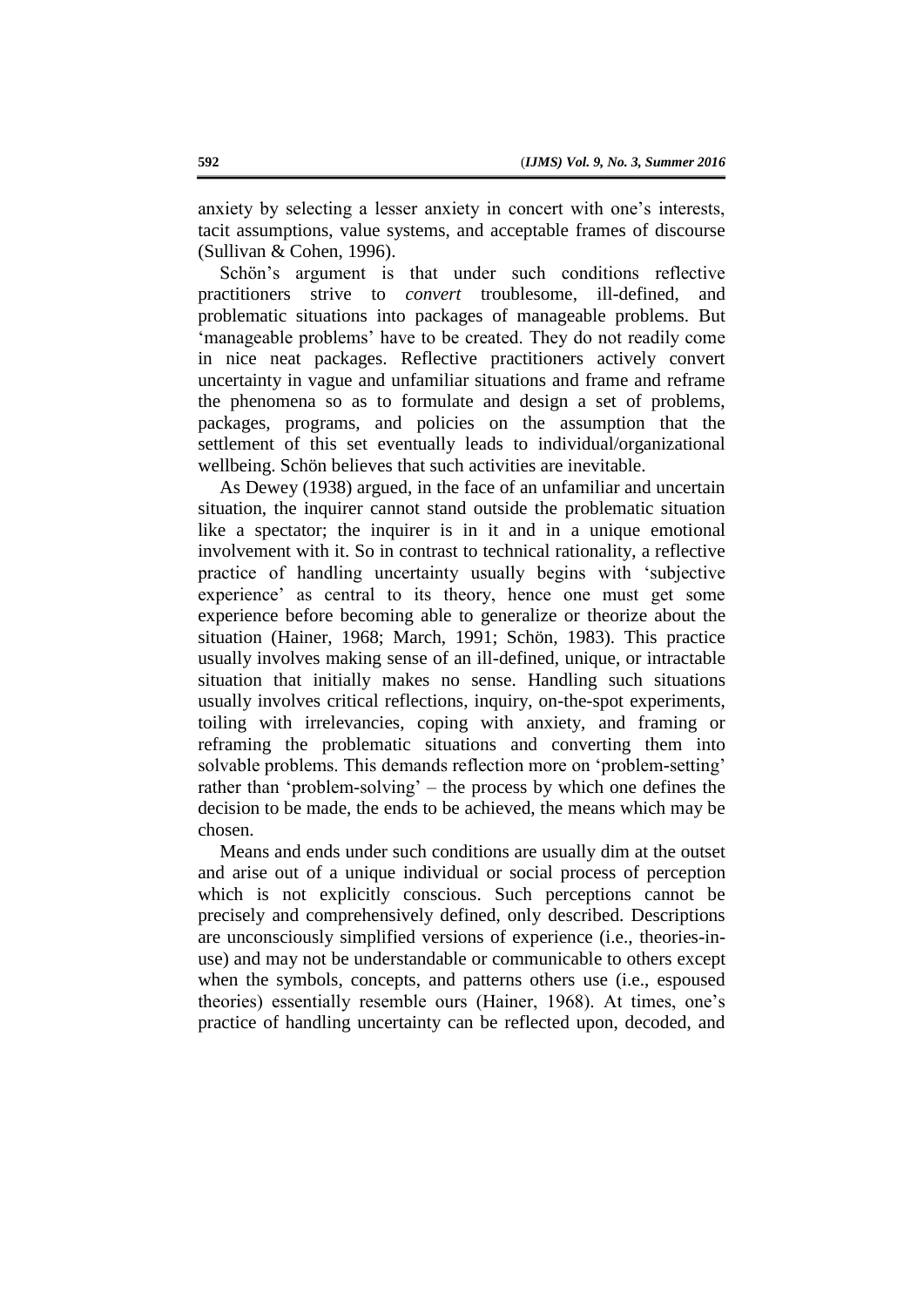anxiety by selecting a lesser anxiety in concert with one's interests, tacit assumptions, value systems, and acceptable frames of discourse (Sullivan & Cohen, 1996).

Schön's argument is that under such conditions reflective practitioners strive to *convert* troublesome, ill-defined, and problematic situations into packages of manageable problems. But 'manageable problems' have to be created. They do not readily come in nice neat packages. Reflective practitioners actively convert uncertainty in vague and unfamiliar situations and frame and reframe the phenomena so as to formulate and design a set of problems, packages, programs, and policies on the assumption that the settlement of this set eventually leads to individual/organizational wellbeing. Schön believes that such activities are inevitable.

As Dewey (1938) argued, in the face of an unfamiliar and uncertain situation, the inquirer cannot stand outside the problematic situation like a spectator; the inquirer is in it and in a unique emotional involvement with it. So in contrast to technical rationality, a reflective practice of handling uncertainty usually begins with 'subjective experience' as central to its theory, hence one must get some experience before becoming able to generalize or theorize about the situation (Hainer, 1968; March, 1991; Schön, 1983). This practice usually involves making sense of an ill-defined, unique, or intractable situation that initially makes no sense. Handling such situations usually involves critical reflections, inquiry, on-the-spot experiments, toiling with irrelevancies, coping with anxiety, and framing or reframing the problematic situations and converting them into solvable problems. This demands reflection more on 'problem-setting' rather than 'problem-solving' – the process by which one defines the decision to be made, the ends to be achieved, the means which may be chosen.

Means and ends under such conditions are usually dim at the outset and arise out of a unique individual or social process of perception which is not explicitly conscious. Such perceptions cannot be precisely and comprehensively defined, only described. Descriptions are unconsciously simplified versions of experience (i.e., theories-inuse) and may not be understandable or communicable to others except when the symbols, concepts, and patterns others use (i.e., espoused theories) essentially resemble ours (Hainer, 1968). At times, one's practice of handling uncertainty can be reflected upon, decoded, and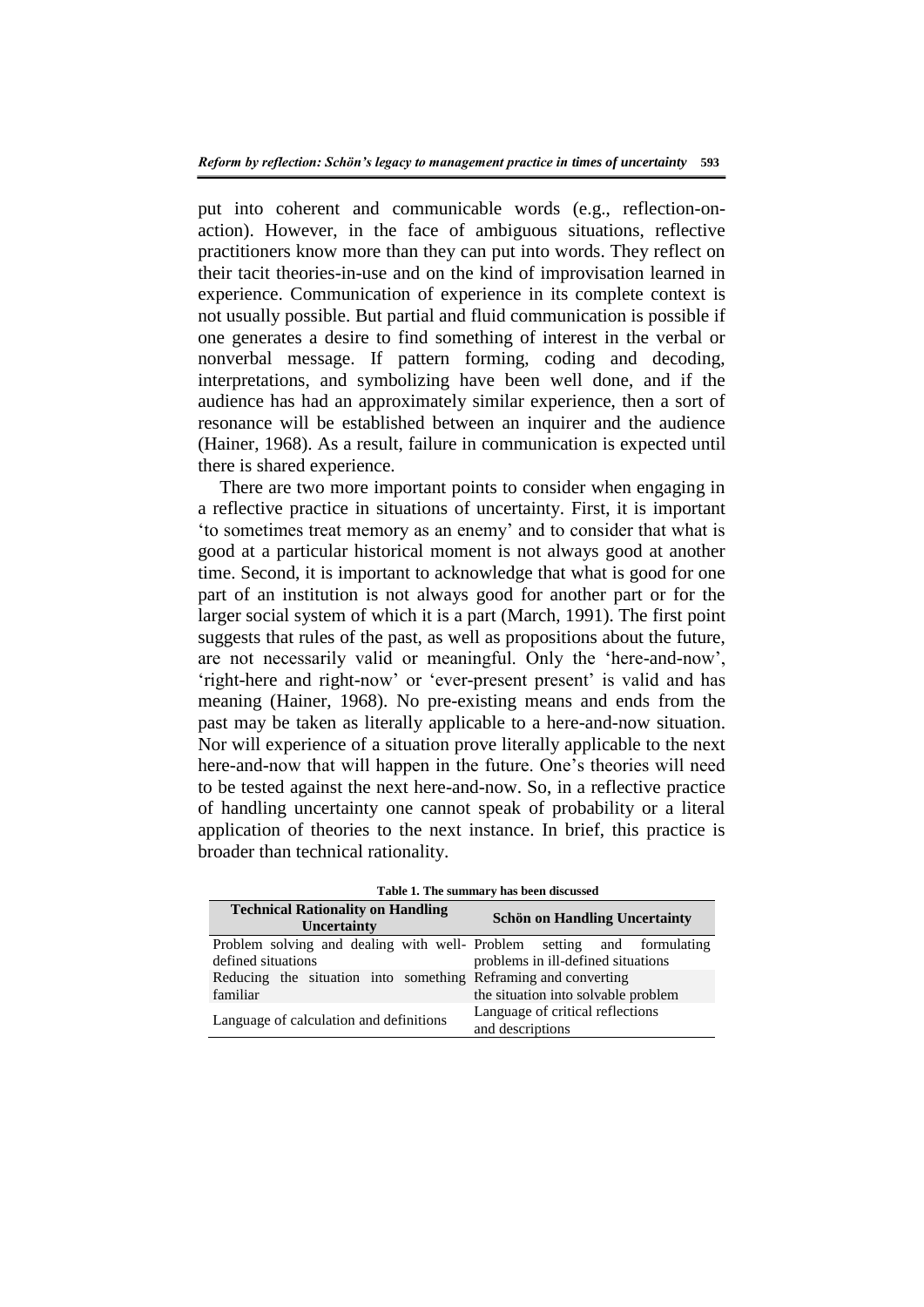put into coherent and communicable words (e.g., reflection-onaction). However, in the face of ambiguous situations, reflective practitioners know more than they can put into words. They reflect on their tacit theories-in-use and on the kind of improvisation learned in experience. Communication of experience in its complete context is not usually possible. But partial and fluid communication is possible if one generates a desire to find something of interest in the verbal or nonverbal message. If pattern forming, coding and decoding, interpretations, and symbolizing have been well done, and if the audience has had an approximately similar experience, then a sort of resonance will be established between an inquirer and the audience (Hainer, 1968). As a result, failure in communication is expected until there is shared experience.

There are two more important points to consider when engaging in a reflective practice in situations of uncertainty. First, it is important 'to sometimes treat memory as an enemy' and to consider that what is good at a particular historical moment is not always good at another time. Second, it is important to acknowledge that what is good for one part of an institution is not always good for another part or for the larger social system of which it is a part (March, 1991). The first point suggests that rules of the past, as well as propositions about the future, are not necessarily valid or meaningful. Only the 'here-and-now', 'right-here and right-now' or 'ever-present present' is valid and has meaning (Hainer, 1968). No pre-existing means and ends from the past may be taken as literally applicable to a here-and-now situation. Nor will experience of a situation prove literally applicable to the next here-and-now that will happen in the future. One's theories will need to be tested against the next here-and-now. So, in a reflective practice of handling uncertainty one cannot speak of probability or a literal application of theories to the next instance. In brief, this practice is broader than technical rationality.

| Table 1. The summary has been discussed                                                      |                                                      |
|----------------------------------------------------------------------------------------------|------------------------------------------------------|
| <b>Technical Rationality on Handling</b><br>Uncertainty                                      | <b>Schön on Handling Uncertainty</b>                 |
| Problem solving and dealing with well- Problem setting and formulating<br>defined situations | problems in ill-defined situations                   |
| Reducing the situation into something Reframing and converting<br>familiar                   | the situation into solvable problem                  |
| Language of calculation and definitions                                                      | Language of critical reflections<br>and descriptions |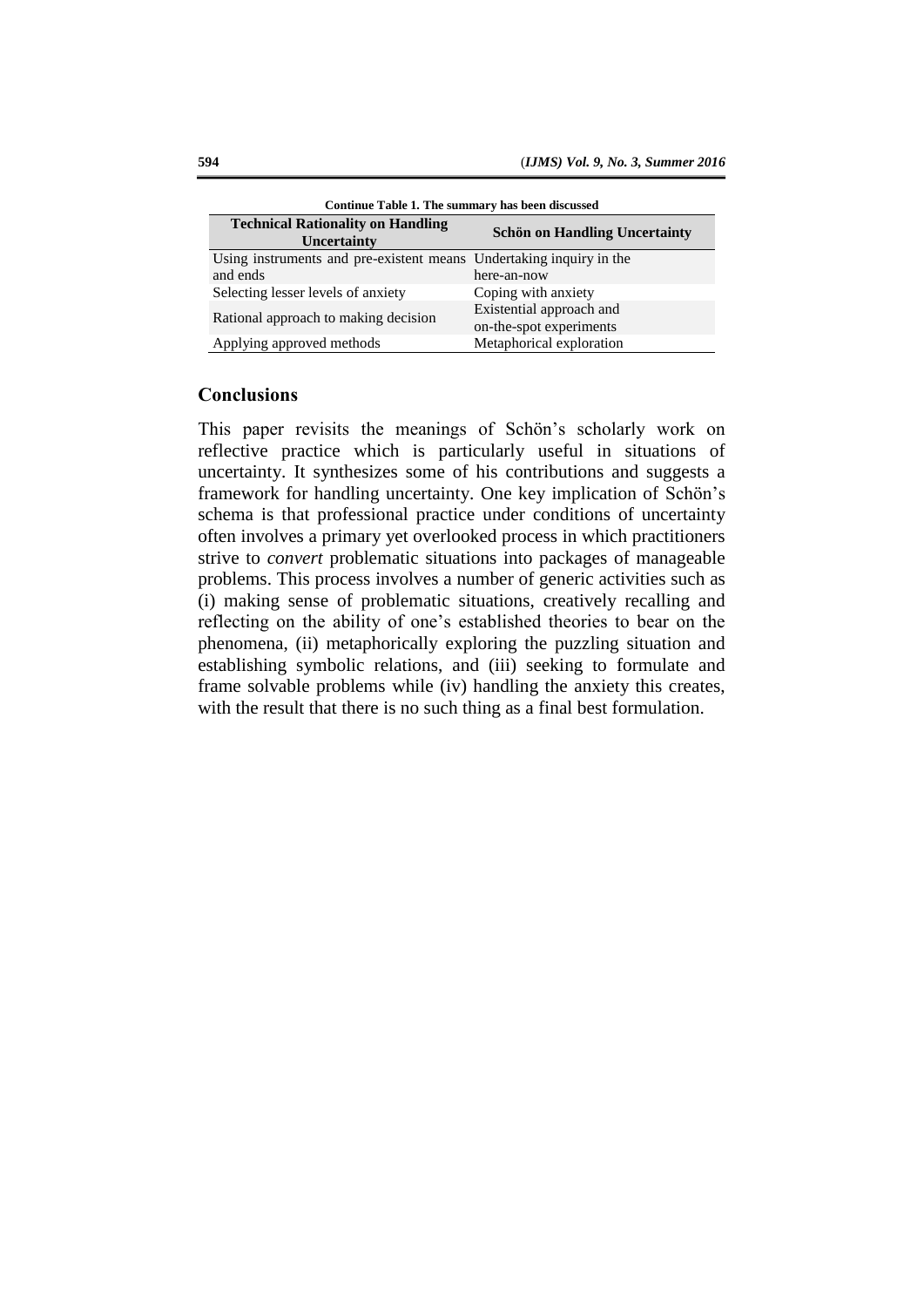| Continue Table 1. The summary has been discussed                    |                                      |
|---------------------------------------------------------------------|--------------------------------------|
| <b>Technical Rationality on Handling</b>                            | <b>Schön on Handling Uncertainty</b> |
| Uncertainty                                                         |                                      |
| Using instruments and pre-existent means Undertaking inquiry in the |                                      |
| and ends                                                            | here-an-now                          |
| Selecting lesser levels of anxiety                                  | Coping with anxiety                  |
| Rational approach to making decision                                | Existential approach and             |
|                                                                     | on-the-spot experiments              |
| Applying approved methods                                           | Metaphorical exploration             |

### **Conclusions**

This paper revisits the meanings of Schön's scholarly work on reflective practice which is particularly useful in situations of uncertainty. It synthesizes some of his contributions and suggests a framework for handling uncertainty. One key implication of Schön's schema is that professional practice under conditions of uncertainty often involves a primary yet overlooked process in which practitioners strive to *convert* problematic situations into packages of manageable problems. This process involves a number of generic activities such as (i) making sense of problematic situations, creatively recalling and reflecting on the ability of one's established theories to bear on the phenomena, (ii) metaphorically exploring the puzzling situation and establishing symbolic relations, and (iii) seeking to formulate and frame solvable problems while (iv) handling the anxiety this creates, with the result that there is no such thing as a final best formulation.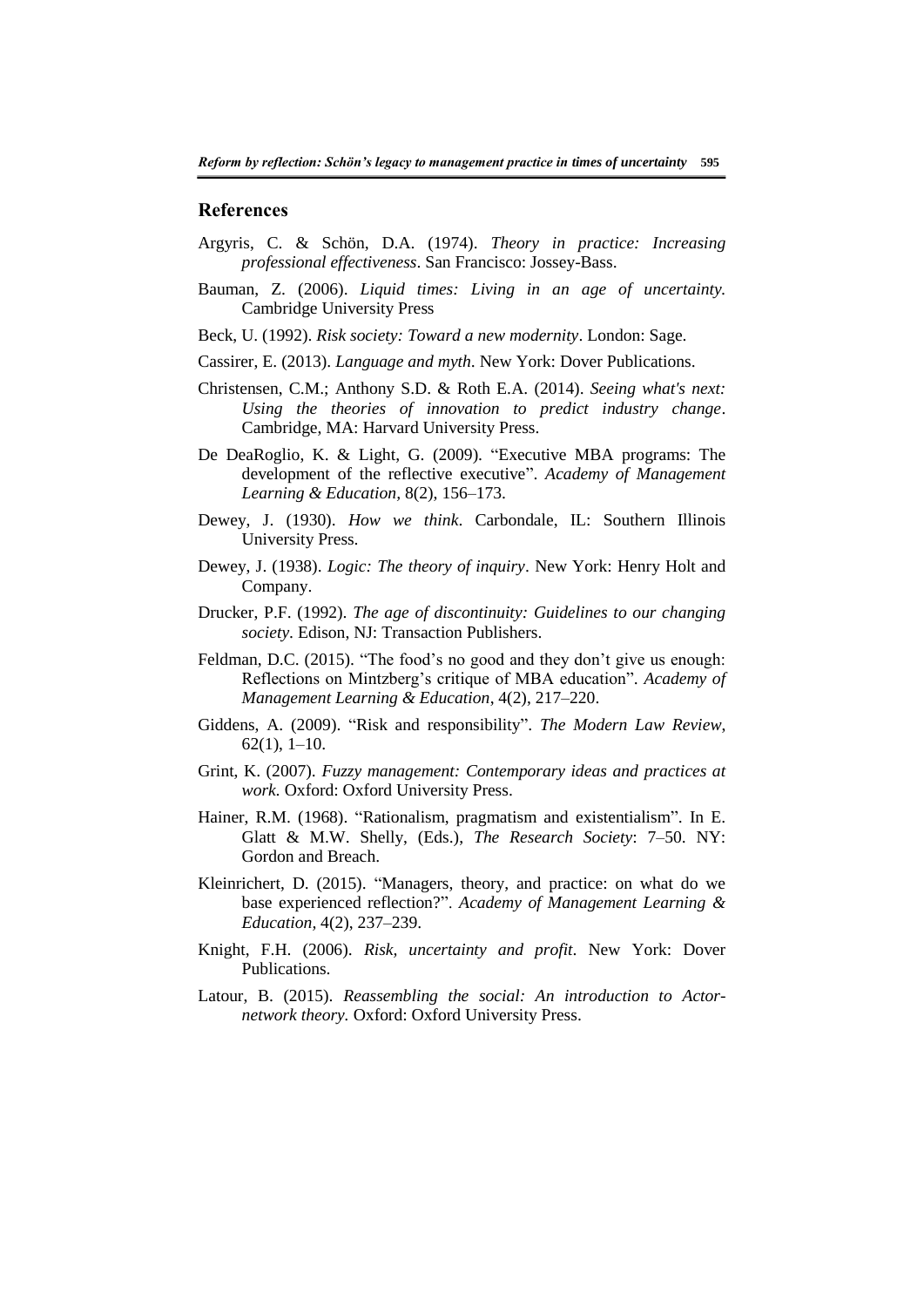#### **References**

- Argyris, C. & Schön, D.A. (1974). *Theory in practice: Increasing professional effectiveness*. San Francisco: Jossey-Bass.
- Bauman, Z. (2006). *Liquid times: Living in an age of uncertainty.*  Cambridge University Press
- Beck, U. (1992). *Risk society: Toward a new modernity*. London: Sage.
- Cassirer, E. (2013). *Language and myth*. New York: Dover Publications.
- Christensen, C.M.; Anthony S.D. & Roth E.A. (2014). *Seeing what's next: Using the theories of innovation to predict industry change*. Cambridge, MA: Harvard University Press.
- De DeaRoglio, K. & Light, G. (2009). "Executive MBA programs: The development of the reflective executive". *Academy of Management Learning & Education,* 8(2), 156–173.
- Dewey, J. (1930). *How we think*. Carbondale, IL: Southern Illinois University Press.
- Dewey, J. (1938). *Logic: The theory of inquiry*. New York: Henry Holt and Company.
- Drucker, P.F. (1992). *The age of discontinuity: Guidelines to our changing society*. Edison, NJ: Transaction Publishers.
- Feldman, D.C. (2015). "The food's no good and they don't give us enough: Reflections on Mintzberg's critique of MBA education". *Academy of Management Learning & Education*, 4(2), 217–220.
- Giddens, A. (2009). "Risk and responsibility". *The Modern Law Review*, 62(1), 1–10.
- Grint, K. (2007). *Fuzzy management: Contemporary ideas and practices at work.* Oxford: Oxford University Press.
- Hainer, R.M. (1968). "Rationalism, pragmatism and existentialism". In E. Glatt & M.W. Shelly, (Eds.), *The Research Society*: 7–50. NY: Gordon and Breach.
- Kleinrichert, D. (2015). "Managers, theory, and practice: on what do we base experienced reflection?". *Academy of Management Learning & Education,* 4(2), 237–239.
- Knight, F.H. (2006). *Risk, uncertainty and profit*. New York: Dover Publications.
- Latour, B. (2015). *Reassembling the social: An introduction to Actornetwork theory.* Oxford: Oxford University Press.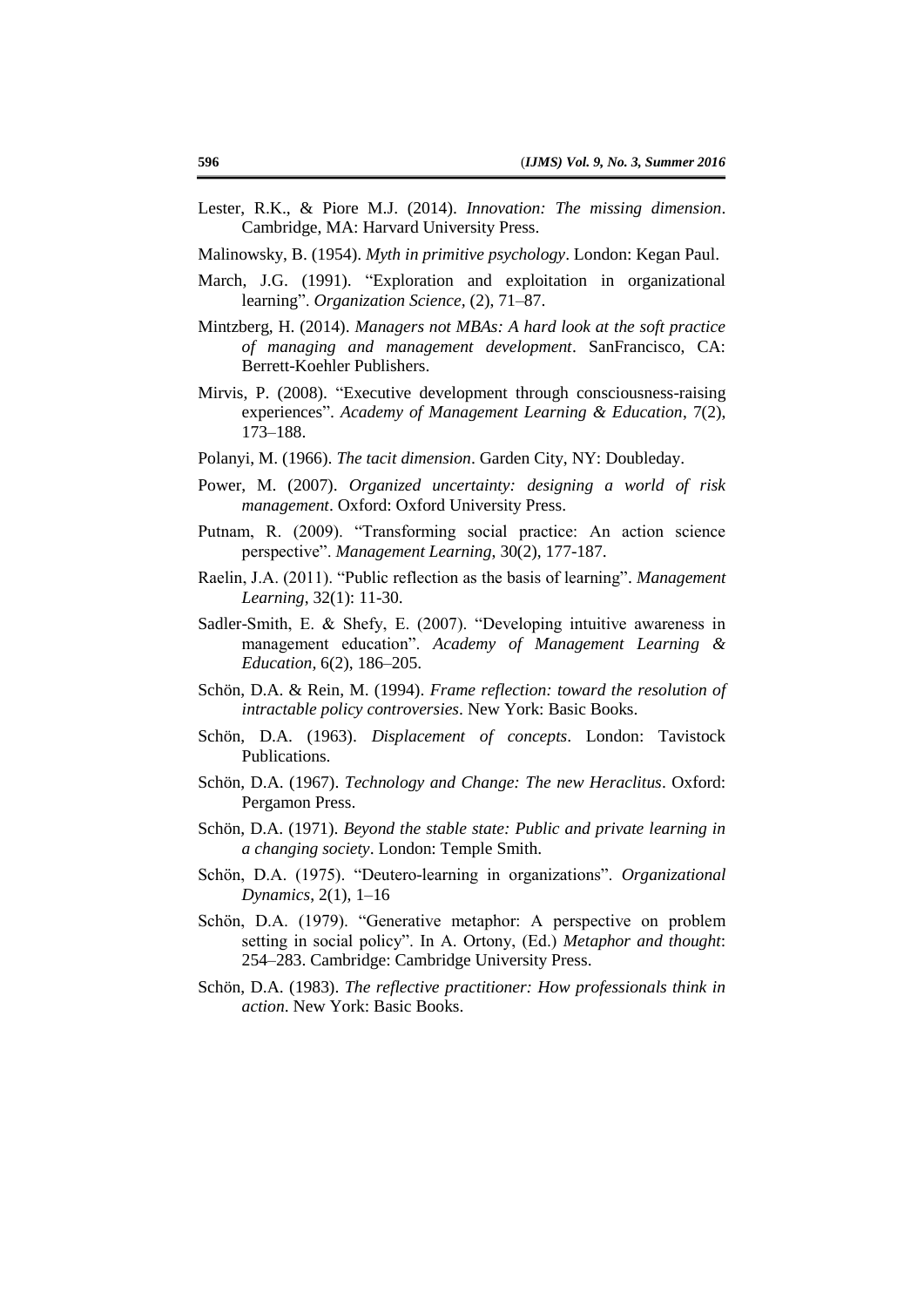- Lester, R.K., & Piore M.J. (2014). *Innovation: The missing dimension*. Cambridge, MA: Harvard University Press.
- Malinowsky, B. (1954). *Myth in primitive psychology*. London: Kegan Paul.
- March, J.G. (1991). "Exploration and exploitation in organizational learning". *Organization Science,* (2), 71–87.
- Mintzberg, H. (2014). *Managers not MBAs: A hard look at the soft practice of managing and management development*. SanFrancisco, CA: Berrett-Koehler Publishers.
- Mirvis, P. (2008). "Executive development through consciousness-raising experiences". *Academy of Management Learning & Education*, 7(2), 173–188.
- Polanyi, M. (1966). *The tacit dimension*. Garden City, NY: Doubleday.
- Power, M. (2007). *Organized uncertainty: designing a world of risk management*. Oxford: Oxford University Press.
- Putnam, R. (2009). "Transforming social practice: An action science perspective". *Management Learning*, 30(2), 177-187.
- Raelin, J.A. (2011). "Public reflection as the basis of learning". *Management Learning*, 32(1): 11-30.
- Sadler-Smith, E. & Shefy, E. (2007). "Developing intuitive awareness in management education". *Academy of Management Learning & Education,* 6(2), 186–205.
- Schön, D.A. & Rein, M. (1994). *Frame reflection: toward the resolution of intractable policy controversies*. New York: Basic Books.
- Schön, D.A. (1963). *Displacement of concepts*. London: Tavistock Publications.
- Schön, D.A. (1967). *Technology and Change: The new Heraclitus*. Oxford: Pergamon Press.
- Schön, D.A. (1971). *Beyond the stable state: Public and private learning in a changing society*. London: Temple Smith.
- Schön, D.A. (1975). "Deutero-learning in organizations". *Organizational Dynamics*, 2(1), 1–16
- Schön, D.A. (1979). "Generative metaphor: A perspective on problem setting in social policy". In A. Ortony, (Ed.) *Metaphor and thought*: 254–283. Cambridge: Cambridge University Press.
- Schön, D.A. (1983). *The reflective practitioner: How professionals think in action*. New York: Basic Books.